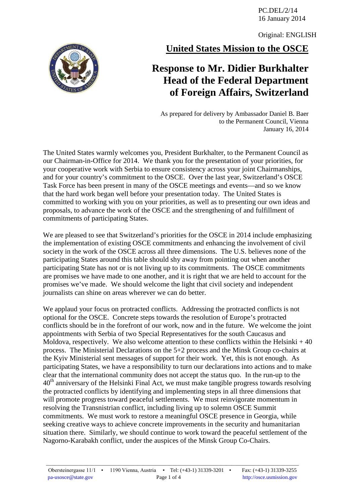PC.DEL/2/14 16 January 2014

Original: ENGLISH

**United States Mission to the OSCE**

## **Response to Mr. Didier Burkhalter Head of the Federal Department of Foreign Affairs, Switzerland**

As prepared for delivery by Ambassador Daniel B. Baer to the Permanent Council, Vienna January 16, 2014

The United States warmly welcomes you, President Burkhalter, to the Permanent Council as our Chairman-in-Office for 2014. We thank you for the presentation of your priorities, for your cooperative work with Serbia to ensure consistency across your joint Chairmanships, and for your country's commitment to the OSCE. Over the last year, Switzerland's OSCE Task Force has been present in many of the OSCE meetings and events—and so we know that the hard work began well before your presentation today. The United States is committed to working with you on your priorities, as well as to presenting our own ideas and proposals, to advance the work of the OSCE and the strengthening of and fulfillment of commitments of participating States.

We are pleased to see that Switzerland's priorities for the OSCE in 2014 include emphasizing the implementation of existing OSCE commitments and enhancing the involvement of civil society in the work of the OSCE across all three dimensions. The U.S. believes none of the participating States around this table should shy away from pointing out when another participating State has not or is not living up to its commitments. The OSCE commitments are promises we have made to one another, and it is right that we are held to account for the promises we've made. We should welcome the light that civil society and independent journalists can shine on areas wherever we can do better.

We applaud your focus on protracted conflicts.Addressing the protracted conflicts is not optional for the OSCE.Concrete steps towards the resolution of Europe's protracted conflicts should be in the forefront of our work, now and in the future. We welcome the joint appointments with Serbia of two Special Representatives for the south Caucasus and Moldova, respectively. We also welcome attention to these conflicts within the Helsinki  $+40$ process. The Ministerial Declarations on the 5+2 process and the Minsk Group co-chairs at the Kyiv Ministerial sent messages of support for their work. Yet, this is not enough. As participating States, we have a responsibility to turn our declarations into actions and to make clear that the international community does not accept the status quo. In the run-up to the  $40<sup>th</sup>$  anniversary of the Helsinki Final Act, we must make tangible progress towards resolving the protracted conflicts by identifying and implementing steps in all three dimensions that will promote progress toward peaceful settlements. We must reinvigorate momentum in resolving the Transnistrian conflict, including living up to solemn OSCE Summit commitments. We must work to restore a meaningful OSCE presence in Georgia, while seeking creative ways to achieve concrete improvements in the security and humanitarian situation there. Similarly, we should continue to work toward the peaceful settlement of the Nagorno-Karabakh conflict, under the auspices of the Minsk Group Co-Chairs.

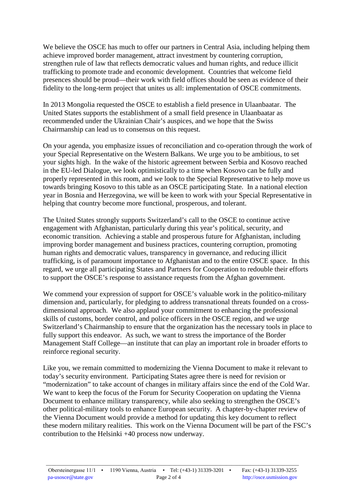We believe the OSCE has much to offer our partners in Central Asia, including helping them achieve improved border management, attract investment by countering corruption, strengthen rule of law that reflects democratic values and human rights, and reduce illicit trafficking to promote trade and economic development. Countries that welcome field presences should be proud—their work with field offices should be seen as evidence of their fidelity to the long-term project that unites us all: implementation of OSCE commitments.

In 2013 Mongolia requested the OSCE to establish a field presence in Ulaanbaatar.The United States supports the establishment of a small field presence in Ulaanbaatar as recommended under the Ukrainian Chair's auspices, and we hope that the Swiss Chairmanship can lead us to consensus on this request.

On your agenda, you emphasize issues of reconciliation and co-operation through the work of your Special Representative on the Western Balkans. We urge you to be ambitious, to set your sights high. In the wake of the historic agreement between Serbia and Kosovo reached in the EU-led Dialogue, we look optimistically to a time when Kosovo can be fully and properly represented in this room, and we look to the Special Representative to help move us towards bringing Kosovo to this table as an OSCE participating State. In a national election year in Bosnia and Herzegovina, we will be keen to work with your Special Representative in helping that country become more functional, prosperous, and tolerant.

The United States strongly supports Switzerland's call to the OSCE to continue active engagement with Afghanistan, particularly during this year's political, security, and economic transition. Achieving a stable and prosperous future for Afghanistan, including improving border management and business practices, countering corruption, promoting human rights and democratic values, transparency in governance, and reducing illicit trafficking, is of paramount importance to Afghanistan and to the entire OSCE space. In this regard, we urge all participating States and Partners for Cooperation to redouble their efforts to support the OSCE's response to assistance requests from the Afghan government.

We commend your expression of support for OSCE's valuable work in the politico-military dimension and, particularly, for pledging to address transnational threats founded on a crossdimensional approach. We also applaud your commitment to enhancing the professional skills of customs, border control, and police officers in the OSCE region, and we urge Switzerland's Chairmanship to ensure that the organization has the necessary tools in place to fully support this endeavor. As such, we want to stress the importance of the Border Management Staff College—an institute that can play an important role in broader efforts to reinforce regional security.

Like you, we remain committed to modernizing the Vienna Document to make it relevant to today's security environment. Participating States agree there is need for revision or "modernization" to take account of changes in military affairs since the end of the Cold War. We want to keep the focus of the Forum for Security Cooperation on updating the Vienna Document to enhance military transparency, while also seeking to strengthen the OSCE's other political-military tools to enhance European security. A chapter-by-chapter review of the Vienna Document would provide a method for updating this key document to reflect these modern military realities. This work on the Vienna Document will be part of the FSC's contribution to the Helsinki +40 process now underway.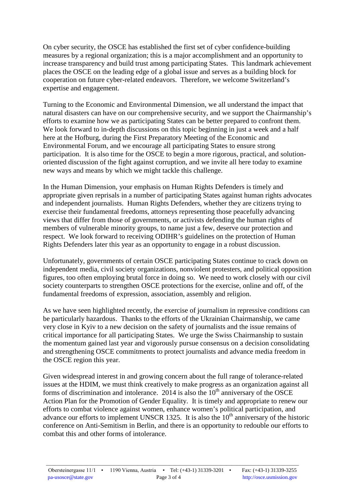On cyber security, the OSCE has established the first set of cyber confidence-building measures by a regional organization; this is a major accomplishment and an opportunity to increase transparency and build trust among participating States. This landmark achievement places the OSCE on the leading edge of a global issue and serves as a building block for cooperation on future cyber-related endeavors. Therefore, we welcome Switzerland's expertise and engagement.

Turning to the Economic and Environmental Dimension, we all understand the impact that natural disasters can have on our comprehensive security, and we support the Chairmanship's efforts to examine how we as participating States can be better prepared to confront them. We look forward to in-depth discussions on this topic beginning in just a week and a half here at the Hofburg, during the First Preparatory Meeting of the Economic and Environmental Forum, and we encourage all participating States to ensure strong participation. It is also time for the OSCE to begin a more rigorous, practical, and solutionoriented discussion of the fight against corruption, and we invite all here today to examine new ways and means by which we might tackle this challenge.

In the Human Dimension, your emphasis on Human Rights Defenders is timely and appropriate given reprisals in a number of participating States against human rights advocates and independent journalists. Human Rights Defenders, whether they are citizens trying to exercise their fundamental freedoms, attorneys representing those peacefully advancing views that differ from those of governments, or activists defending the human rights of members of vulnerable minority groups, to name just a few, deserve our protection and respect. We look forward to receiving ODIHR's guidelines on the protection of Human Rights Defenders later this year as an opportunity to engage in a robust discussion.

Unfortunately, governments of certain OSCE participating States continue to crack down on independent media, civil society organizations, nonviolent protesters, and political opposition figures, too often employing brutal force in doing so. We need to work closely with our civil society counterparts to strengthen OSCE protections for the exercise, online and off, of the fundamental freedoms of expression, association, assembly and religion.

As we have seen highlighted recently, the exercise of journalism in repressive conditions can be particularly hazardous. Thanks to the efforts of the Ukrainian Chairmanship, we came very close in Kyiv to a new decision on the safety of journalists and the issue remains of critical importance for all participating States. We urge the Swiss Chairmanship to sustain the momentum gained last year and vigorously pursue consensus on a decision consolidating and strengthening OSCE commitments to protect journalists and advance media freedom in the OSCE region this year.

Given widespread interest in and growing concern about the full range of tolerance-related issues at the HDIM, we must think creatively to make progress as an organization against all forms of discrimination and intolerance. 2014 is also the  $10<sup>th</sup>$  anniversary of the OSCE Action Plan for the Promotion of Gender Equality. It is timely and appropriate to renew our efforts to combat violence against women, enhance women's political participation, and advance our efforts to implement UNSCR 1325. It is also the  $10<sup>th</sup>$  anniversary of the historic conference on Anti-Semitism in Berlin, and there is an opportunity to redouble our efforts to combat this and other forms of intolerance.